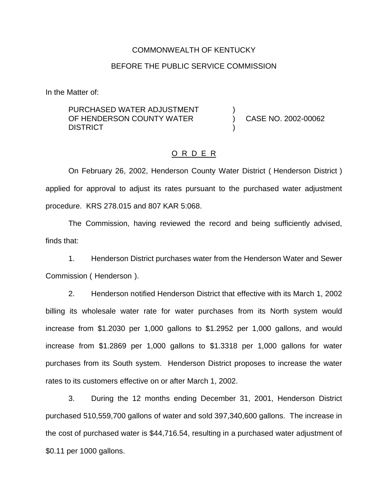#### COMMONWEALTH OF KENTUCKY

#### BEFORE THE PUBLIC SERVICE COMMISSION

)

)

In the Matter of:

PURCHASED WATER ADJUSTMENT OF HENDERSON COUNTY WATER **DISTRICT** 

) CASE NO. 2002-00062

### O R D E R

On February 26, 2002, Henderson County Water District ( Henderson District ) applied for approval to adjust its rates pursuant to the purchased water adjustment procedure. KRS 278.015 and 807 KAR 5:068.

The Commission, having reviewed the record and being sufficiently advised, finds that:

1. Henderson District purchases water from the Henderson Water and Sewer Commission ( Henderson ).

2. Henderson notified Henderson District that effective with its March 1, 2002 billing its wholesale water rate for water purchases from its North system would increase from \$1.2030 per 1,000 gallons to \$1.2952 per 1,000 gallons, and would increase from \$1.2869 per 1,000 gallons to \$1.3318 per 1,000 gallons for water purchases from its South system. Henderson District proposes to increase the water rates to its customers effective on or after March 1, 2002.

3. During the 12 months ending December 31, 2001, Henderson District purchased 510,559,700 gallons of water and sold 397,340,600 gallons. The increase in the cost of purchased water is \$44,716.54, resulting in a purchased water adjustment of \$0.11 per 1000 gallons.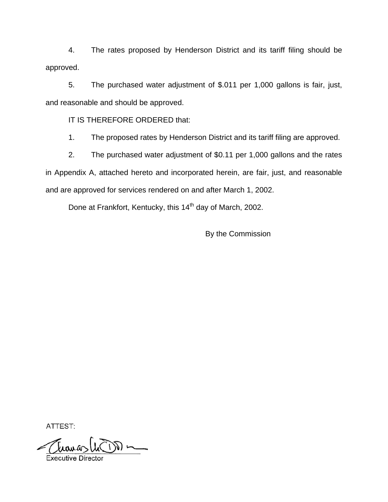4. The rates proposed by Henderson District and its tariff filing should be approved.

5. The purchased water adjustment of \$.011 per 1,000 gallons is fair, just, and reasonable and should be approved.

IT IS THEREFORE ORDERED that:

1. The proposed rates by Henderson District and its tariff filing are approved.

2. The purchased water adjustment of \$0.11 per 1,000 gallons and the rates in Appendix A, attached hereto and incorporated herein, are fair, just, and reasonable and are approved for services rendered on and after March 1, 2002.

Done at Frankfort, Kentucky, this 14<sup>th</sup> day of March, 2002.

By the Commission

ATTEST: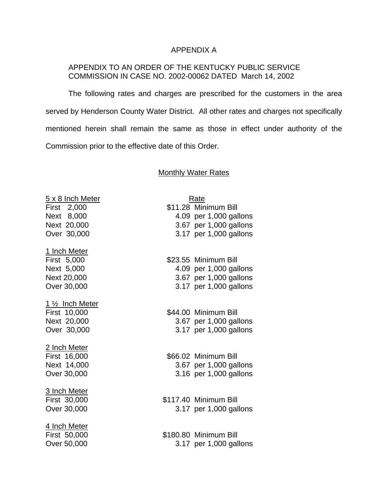## APPENDIX A

## APPENDIX TO AN ORDER OF THE KENTUCKY PUBLIC SERVICE COMMISSION IN CASE NO. 2002-00062 DATED March 14, 2002

The following rates and charges are prescribed for the customers in the area served by Henderson County Water District. All other rates and charges not specifically mentioned herein shall remain the same as those in effect under authority of the Commission prior to the effective date of this Order.

# **Monthly Water Rates**

| <u>5 x 8 Inch Meter</u> | Rate                   |
|-------------------------|------------------------|
| First 2,000             | \$11.28 Minimum Bill   |
| Next 8,000              | 4.09 per 1,000 gallons |
| Next 20,000             | 3.67 per 1,000 gallons |
| Over 30,000             | 3.17 per 1,000 gallons |
| 1 Inch Meter            |                        |
| First 5,000             | \$23.55 Minimum Bill   |
| Next 5,000              | 4.09 per 1,000 gallons |
| Next 20,000             | 3.67 per 1,000 gallons |
| Over 30,000             | 3.17 per 1,000 gallons |
| <u>1 ½ Inch Meter</u>   |                        |
| First 10,000            | \$44.00 Minimum Bill   |
| Next 20,000             | 3.67 per 1,000 gallons |
| Over 30,000             | 3.17 per 1,000 gallons |
| <u>2 Inch Meter</u>     |                        |
| First 16,000            | \$66.02 Minimum Bill   |
| Next 14,000             | 3.67 per 1,000 gallons |
| Over 30,000             | 3.16 per 1,000 gallons |
| <u>3 Inch Meter</u>     |                        |
| First 30,000            | \$117.40 Minimum Bill  |
| Over 30,000             | 3.17 per 1,000 gallons |
| <u>4 Inch Meter</u>     |                        |
| First 50,000            | \$180.80 Minimum Bill  |
| Over 50,000             | 3.17 per 1,000 gallons |
|                         |                        |